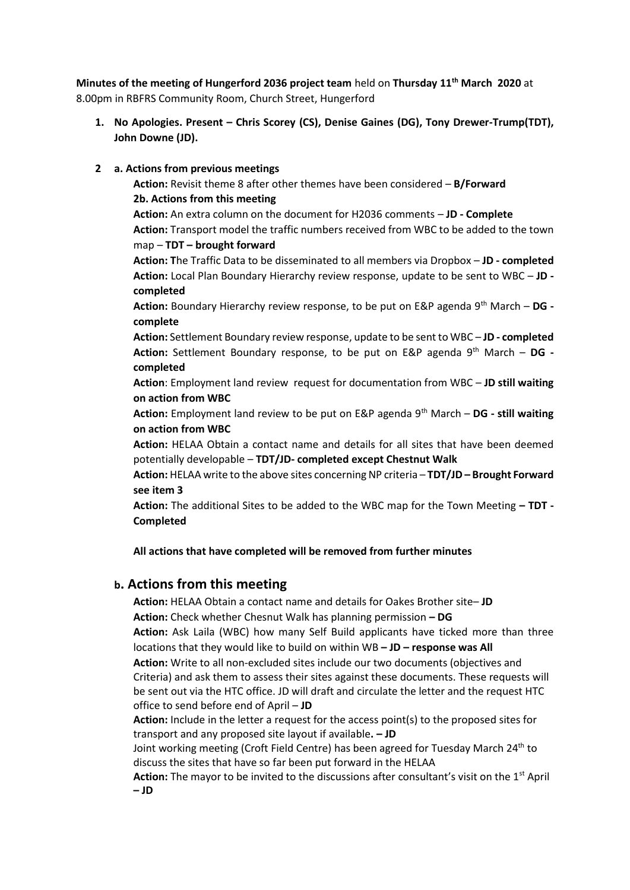**Minutes of the meeting of Hungerford 2036 project team** held on **Thursday 11th March 2020** at 8.00pm in RBFRS Community Room, Church Street, Hungerford

**1. No Apologies. Present – Chris Scorey (CS), Denise Gaines (DG), Tony Drewer-Trump(TDT), John Downe (JD).**

#### **2 a. Actions from previous meetings**

**Action:** Revisit theme 8 after other themes have been considered – **B/Forward 2b. Actions from this meeting Action:** An extra column on the document for H2036 comments – **JD - Complete Action:** Transport model the traffic numbers received from WBC to be added to the town map – **TDT – brought forward Action: T**he Traffic Data to be disseminated to all members via Dropbox – **JD - completed Action:** Local Plan Boundary Hierarchy review response, update to be sent to WBC – **JD completed Action:** Boundary Hierarchy review response, to be put on E&P agenda 9th March – **DG complete Action:** Settlement Boundary review response, update to be sent to WBC – **JD - completed Action:** Settlement Boundary response, to be put on E&P agenda 9th March – **DG completed**

**Action**: Employment land review request for documentation from WBC – **JD still waiting on action from WBC**

**Action:** Employment land review to be put on E&P agenda 9th March – **DG - still waiting on action from WBC**

**Action:** HELAA Obtain a contact name and details for all sites that have been deemed potentially developable – **TDT/JD- completed except Chestnut Walk**

**Action:** HELAA write to the above sites concerning NP criteria – **TDT/JD – Brought Forward see item 3**

**Action:** The additional Sites to be added to the WBC map for the Town Meeting **– TDT - Completed**

**All actions that have completed will be removed from further minutes**

# **b. Actions from this meeting**

**Action:** HELAA Obtain a contact name and details for Oakes Brother site– **JD Action:** Check whether Chesnut Walk has planning permission **– DG Action:** Ask Laila (WBC) how many Self Build applicants have ticked more than three locations that they would like to build on within WB **– JD – response was All Action:** Write to all non-excluded sites include our two documents (objectives and Criteria) and ask them to assess their sites against these documents. These requests will be sent out via the HTC office. JD will draft and circulate the letter and the request HTC office to send before end of April – **JD Action:** Include in the letter a request for the access point(s) to the proposed sites for transport and any proposed site layout if available**. – JD** Joint working meeting (Croft Field Centre) has been agreed for Tuesday March 24<sup>th</sup> to discuss the sites that have so far been put forward in the HELAA

**Action:** The mayor to be invited to the discussions after consultant's visit on the 1<sup>st</sup> April **– JD**